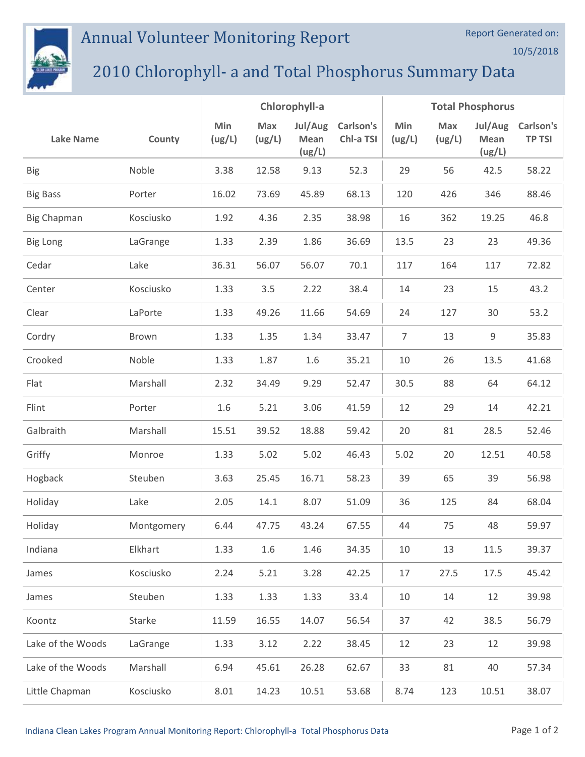## Annual Volunteer Monitoring Report

## 2010 Chlorophyll- a and Total Phosphorus Summary Data

|                    |            | Chlorophyll-a |               |                           |                        | <b>Total Phosphorus</b> |               |                           |                            |
|--------------------|------------|---------------|---------------|---------------------------|------------------------|-------------------------|---------------|---------------------------|----------------------------|
| <b>Lake Name</b>   | County     | Min<br>(ug/L) | Max<br>(ug/L) | Jul/Aug<br>Mean<br>(ug/L) | Carlson's<br>Chl-a TSI | Min<br>(ug/L)           | Max<br>(ug/L) | Jul/Aug<br>Mean<br>(ug/L) | Carlson's<br><b>TP TSI</b> |
| <b>Big</b>         | Noble      | 3.38          | 12.58         | 9.13                      | 52.3                   | 29                      | 56            | 42.5                      | 58.22                      |
| <b>Big Bass</b>    | Porter     | 16.02         | 73.69         | 45.89                     | 68.13                  | 120                     | 426           | 346                       | 88.46                      |
| <b>Big Chapman</b> | Kosciusko  | 1.92          | 4.36          | 2.35                      | 38.98                  | 16                      | 362           | 19.25                     | 46.8                       |
| <b>Big Long</b>    | LaGrange   | 1.33          | 2.39          | 1.86                      | 36.69                  | 13.5                    | 23            | 23                        | 49.36                      |
| Cedar              | Lake       | 36.31         | 56.07         | 56.07                     | 70.1                   | 117                     | 164           | 117                       | 72.82                      |
| Center             | Kosciusko  | 1.33          | 3.5           | 2.22                      | 38.4                   | 14                      | 23            | 15                        | 43.2                       |
| Clear              | LaPorte    | 1.33          | 49.26         | 11.66                     | 54.69                  | 24                      | 127           | 30                        | 53.2                       |
| Cordry             | Brown      | 1.33          | 1.35          | 1.34                      | 33.47                  | $\overline{7}$          | 13            | 9                         | 35.83                      |
| Crooked            | Noble      | 1.33          | 1.87          | 1.6                       | 35.21                  | 10                      | 26            | 13.5                      | 41.68                      |
| Flat               | Marshall   | 2.32          | 34.49         | 9.29                      | 52.47                  | 30.5                    | 88            | 64                        | 64.12                      |
| Flint              | Porter     | 1.6           | 5.21          | 3.06                      | 41.59                  | 12                      | 29            | 14                        | 42.21                      |
| Galbraith          | Marshall   | 15.51         | 39.52         | 18.88                     | 59.42                  | 20                      | 81            | 28.5                      | 52.46                      |
| Griffy             | Monroe     | 1.33          | 5.02          | 5.02                      | 46.43                  | 5.02                    | 20            | 12.51                     | 40.58                      |
| Hogback            | Steuben    | 3.63          | 25.45         | 16.71                     | 58.23                  | 39                      | 65            | 39                        | 56.98                      |
| Holiday            | Lake       | 2.05          | 14.1          | 8.07                      | 51.09                  | 36                      | 125           | 84                        | 68.04                      |
| Holiday            | Montgomery | 6.44          | 47.75         | 43.24                     | 67.55                  | 44                      | 75            | 48                        | 59.97                      |
| Indiana            | Elkhart    | 1.33          | 1.6           | 1.46                      | 34.35                  | 10                      | 13            | 11.5                      | 39.37                      |
| James              | Kosciusko  | 2.24          | 5.21          | 3.28                      | 42.25                  | 17                      | 27.5          | 17.5                      | 45.42                      |
| James              | Steuben    | 1.33          | 1.33          | 1.33                      | 33.4                   | 10                      | 14            | 12                        | 39.98                      |
| Koontz             | Starke     | 11.59         | 16.55         | 14.07                     | 56.54                  | 37                      | 42            | 38.5                      | 56.79                      |
| Lake of the Woods  | LaGrange   | 1.33          | 3.12          | 2.22                      | 38.45                  | 12                      | 23            | 12                        | 39.98                      |
| Lake of the Woods  | Marshall   | 6.94          | 45.61         | 26.28                     | 62.67                  | 33                      | 81            | 40                        | 57.34                      |
| Little Chapman     | Kosciusko  | 8.01          | 14.23         | 10.51                     | 53.68                  | 8.74                    | 123           | 10.51                     | 38.07                      |

Report Generated on:

10/5/2018